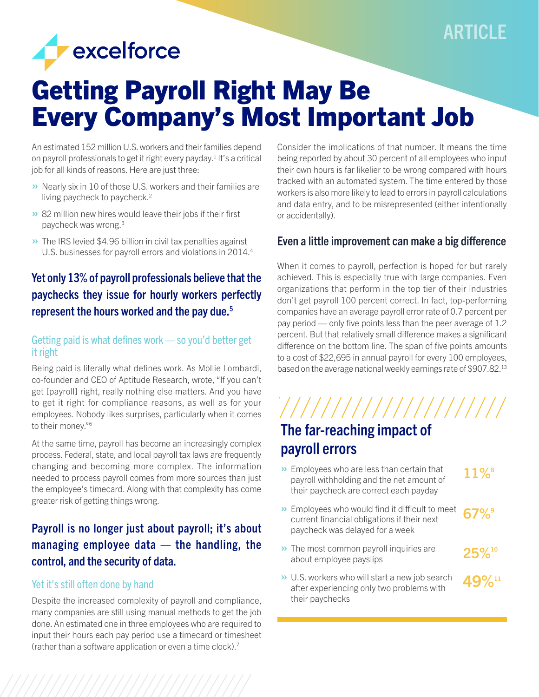

# Getting Payroll Right May Be Every Company's Most Important Job

An estimated 152 million U.S. workers and their families depend on payroll professionals to get it right every payday.<sup>1</sup> It's a critical job for all kinds of reasons. Here are just three:

- » Nearly six in 10 of those U.S. workers and their families are living paycheck to paycheck.2
- » 82 million new hires would leave their jobs if their first paycheck was wrong.3
- **»** The IRS levied \$4.96 billion in civil tax penalties against U.S. businesses for payroll errors and violations in 2014.<sup>4</sup>

# Yet only 13% of payroll professionals believe that the paychecks they issue for hourly workers perfectly represent the hours worked and the pay due.5

### Getting paid is what defines work — so you'd better get it right

Being paid is literally what defines work. As Mollie Lombardi, co-founder and CEO of Aptitude Research, wrote, "If you can't get [payroll] right, really nothing else matters. And you have to get it right for compliance reasons, as well as for your employees. Nobody likes surprises, particularly when it comes to their money."6

At the same time, payroll has become an increasingly complex process. Federal, state, and local payroll tax laws are frequently changing and becoming more complex. The information needed to process payroll comes from more sources than just the employee's timecard. Along with that complexity has come greater risk of getting things wrong.

## Payroll is no longer just about payroll; it's about managing employee data  $-$  the handling, the control, and the security of data.

### Yet it's still often done by hand

Despite the increased complexity of payroll and compliance, many companies are still using manual methods to get the job done. An estimated one in three employees who are required to input their hours each pay period use a timecard or timesheet (rather than a software application or even a time clock).7

Consider the implications of that number. It means the time being reported by about 30 percent of all employees who input their own hours is far likelier to be wrong compared with hours tracked with an automated system. The time entered by those workers is also more likely to lead to errors in payroll calculations and data entry, and to be misrepresented (either intentionally or accidentally).

## Even a little improvement can make a big difference

When it comes to payroll, perfection is hoped for but rarely achieved. This is especially true with large companies. Even organizations that perform in the top tier of their industries don't get payroll 100 percent correct. In fact, top-performing companies have an average payroll error rate of 0.7 percent per pay period — only five points less than the peer average of 1.2 percent. But that relatively small difference makes a significant difference on the bottom line. The span of five points amounts to a cost of \$22,695 in annual payroll for every 100 employees, based on the average national weekly earnings rate of \$907.82.13

'/////////////////////// The far-reaching impact of payroll errors

- » Employees who are less than certain that payroll withholding and the net amount of their paycheck are correct each payday  $11\%$ <sup>8</sup>
- » Employees who would find it difficult to meet current financial obligations if their next paycheck was delayed for a week  $67\%$ °

 $25\%$   $^{\scriptscriptstyle 10}$ 

- » The most common payroll inquiries are about employee payslips
- » U.S. workers who will start a new job search after experiencing only two problems with their paychecks  $19\%$  11